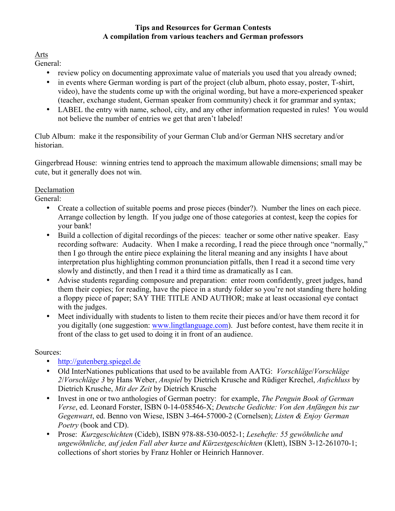## **Tips and Resources for German Contests A compilation from various teachers and German professors**

Arts

General:

- review policy on documenting approximate value of materials you used that you already owned;
- in events where German wording is part of the project (club album, photo essay, poster, T-shirt, video), have the students come up with the original wording, but have a more-experienced speaker (teacher, exchange student, German speaker from community) check it for grammar and syntax;
- LABEL the entry with name, school, city, and any other information requested in rules! You would not believe the number of entries we get that aren't labeled!

Club Album: make it the responsibility of your German Club and/or German NHS secretary and/or historian.

Gingerbread House: winning entries tend to approach the maximum allowable dimensions; small may be cute, but it generally does not win.

# Declamation

General:

- Create a collection of suitable poems and prose pieces (binder?). Number the lines on each piece. Arrange collection by length. If you judge one of those categories at contest, keep the copies for your bank!
- Build a collection of digital recordings of the pieces: teacher or some other native speaker. Easy recording software: Audacity. When I make a recording, I read the piece through once "normally," then I go through the entire piece explaining the literal meaning and any insights I have about interpretation plus highlighting common pronunciation pitfalls, then I read it a second time very slowly and distinctly, and then I read it a third time as dramatically as I can.
- Advise students regarding composure and preparation: enter room confidently, greet judges, hand them their copies; for reading, have the piece in a sturdy folder so you're not standing there holding a floppy piece of paper; SAY THE TITLE AND AUTHOR; make at least occasional eye contact with the judges.
- Meet individually with students to listen to them recite their pieces and/or have them record it for you digitally (one suggestion: www.lingtlanguage.com). Just before contest, have them recite it in front of the class to get used to doing it in front of an audience.

# Sources:

- http://gutenberg.spiegel.de
- Old InterNationes publications that used to be available from AATG: *Vorschläge*/*Vorschläge 2*/*Vorschläge 3* by Hans Weber, *Anspiel* by Dietrich Krusche and Rüdiger Krechel, *Aufschluss* by Dietrich Krusche, *Mit der Zeit* by Dietrich Krusche
- Invest in one or two anthologies of German poetry: for example, *The Penguin Book of German Verse*, ed. Leonard Forster, ISBN 0-14-058546-X; *Deutsche Gedichte: Von den Anfängen bis zur Gegenwart*, ed. Benno von Wiese, ISBN 3-464-57000-2 (Cornelsen); *Listen & Enjoy German Poetry* (book and CD).
- Prose: *Kurzgeschichten* (Cideb), ISBN 978-88-530-0052-1; *Lesehefte: 55 gewöhnliche und ungewöhnliche, auf jeden Fall aber kurze and Kürzestgeschichten* (Klett), ISBN 3-12-261070-1; collections of short stories by Franz Hohler or Heinrich Hannover.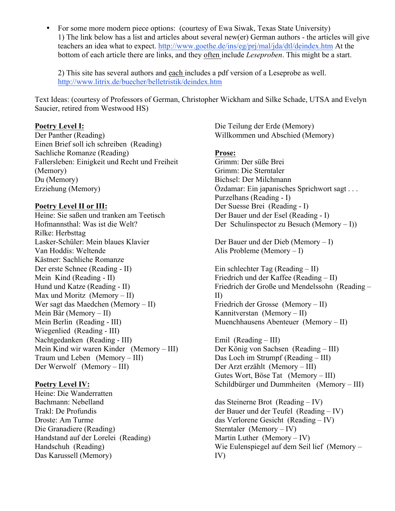• For some more modern piece options: (courtesy of Ewa Siwak, Texas State University) 1) The link below has a list and articles about several new(er) German authors - the articles will give teachers an idea what to expect. http://www.goethe.de/ins/eg/prj/mal/jda/dtl/deindex.htm At the bottom of each article there are links, and they often include *Leseproben*. This might be a start.

2) This site has several authors and each includes a pdf version of a Leseprobe as well. http://www.litrix.de/buecher/belletristik/deindex.htm

Text Ideas: (courtesy of Professors of German, Christopher Wickham and Silke Schade, UTSA and Evelyn Saucier, retired from Westwood HS)

### **Poetry Level I:**

Der Panther (Reading) Einen Brief soll ich schreiben (Reading) Sachliche Romanze (Reading) Fallersleben: Einigkeit und Recht und Freiheit (Memory) Du (Memory) Erziehung (Memory)

### **Poetry Level II or III:**

Heine: Sie saßen und tranken am Teetisch Hofmannsthal: Was ist die Welt? Rilke: Herbsttag Lasker-Schüler: Mein blaues Klavier Van Hoddis: Weltende Kästner: Sachliche Romanze Der erste Schnee (Reading - II) Mein Kind (Reading - II) Hund und Katze (Reading - II) Max und Moritz (Memory  $-$  II) Wer sagt das Maedchen (Memory – II) Mein Bär (Memory – II) Mein Berlin (Reading - III) Wiegenlied (Reading - III) Nachtgedanken (Reading - III) Mein Kind wir waren Kinder (Memory – III) Traum und Leben (Memory – III) Der Werwolf (Memory – III)

## **Poetry Level IV:**

Heine: Die Wanderratten Bachmann: Nebelland Trakl: De Profundis Droste: Am Turme Die Granadiere (Reading) Handstand auf der Lorelei (Reading) Handschuh (Reading) Das Karussell (Memory)

Die Teilung der Erde (Memory) Willkommen und Abschied (Memory)

### **Prose:**

Grimm: Der süße Brei Grimm: Die Sterntaler Bichsel: Der Milchmann Özdamar: Ein japanisches Sprichwort sagt . . . Purzelhans (Reading - I) Der Suesse Brei (Reading - I) Der Bauer und der Esel (Reading - I) Der Schulinspector zu Besuch (Memory – I))

Der Bauer und der Dieb (Memory – I) Alis Probleme (Memory – I)

Ein schlechter Tag (Reading – II) Friedrich und der Kaffee (Reading – II) Friedrich der Große und Mendelssohn (Reading – II) Friedrich der Grosse (Memory – II) Kannitverstan (Memory – II) Muenchhausens Abenteuer (Memory – II)

Emil (Reading – III) Der König von Sachsen (Reading – III) Das Loch im Strumpf (Reading – III) Der Arzt erzählt (Memory – III) Gutes Wort, Böse Tat (Memory – III) Schildbürger und Dummheiten (Memory – III)

das Steinerne Brot (Reading – IV) der Bauer und der Teufel (Reading – IV) das Verlorene Gesicht (Reading – IV) Sterntaler (Memory – IV) Martin Luther (Memory – IV) Wie Eulenspiegel auf dem Seil lief (Memory – IV)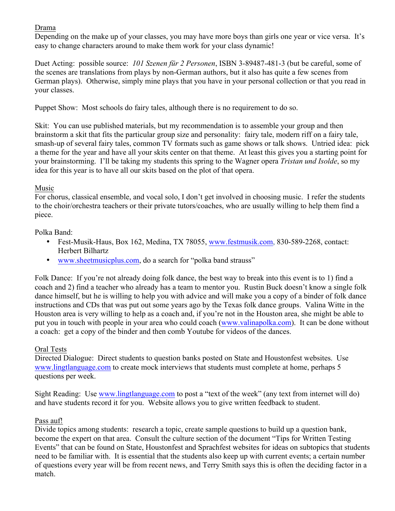# Drama

Depending on the make up of your classes, you may have more boys than girls one year or vice versa. It's easy to change characters around to make them work for your class dynamic!

Duet Acting: possible source: *101 Szenen für 2 Personen*, ISBN 3-89487-481-3 (but be careful, some of the scenes are translations from plays by non-German authors, but it also has quite a few scenes from German plays). Otherwise, simply mine plays that you have in your personal collection or that you read in your classes.

Puppet Show: Most schools do fairy tales, although there is no requirement to do so.

Skit: You can use published materials, but my recommendation is to assemble your group and then brainstorm a skit that fits the particular group size and personality: fairy tale, modern riff on a fairy tale, smash-up of several fairy tales, common TV formats such as game shows or talk shows. Untried idea: pick a theme for the year and have all your skits center on that theme. At least this gives you a starting point for your brainstorming. I'll be taking my students this spring to the Wagner opera *Tristan und Isolde*, so my idea for this year is to have all our skits based on the plot of that opera.

# Music

For chorus, classical ensemble, and vocal solo, I don't get involved in choosing music. I refer the students to the choir/orchestra teachers or their private tutors/coaches, who are usually willing to help them find a piece.

# Polka Band:

- Fest-Musik-Haus, Box 162, Medina, TX 78055, www.festmusik.com, 830-589-2268, contact: Herbert Bilhartz
- www.sheetmusicplus.com, do a search for "polka band strauss"

Folk Dance: If you're not already doing folk dance, the best way to break into this event is to 1) find a coach and 2) find a teacher who already has a team to mentor you. Rustin Buck doesn't know a single folk dance himself, but he is willing to help you with advice and will make you a copy of a binder of folk dance instructions and CDs that was put out some years ago by the Texas folk dance groups. Valina Witte in the Houston area is very willing to help as a coach and, if you're not in the Houston area, she might be able to put you in touch with people in your area who could coach (www.valinapolka.com). It can be done without a coach: get a copy of the binder and then comb Youtube for videos of the dances.

# Oral Tests

Directed Dialogue: Direct students to question banks posted on State and Houstonfest websites. Use www.lingtlanguage.com to create mock interviews that students must complete at home, perhaps 5 questions per week.

Sight Reading: Use www.lingtlanguage.com to post a "text of the week" (any text from internet will do) and have students record it for you. Website allows you to give written feedback to student.

## Pass auf!

Divide topics among students: research a topic, create sample questions to build up a question bank, become the expert on that area. Consult the culture section of the document "Tips for Written Testing Events" that can be found on State, Houstonfest and Sprachfest websites for ideas on subtopics that students need to be familiar with. It is essential that the students also keep up with current events; a certain number of questions every year will be from recent news, and Terry Smith says this is often the deciding factor in a match.